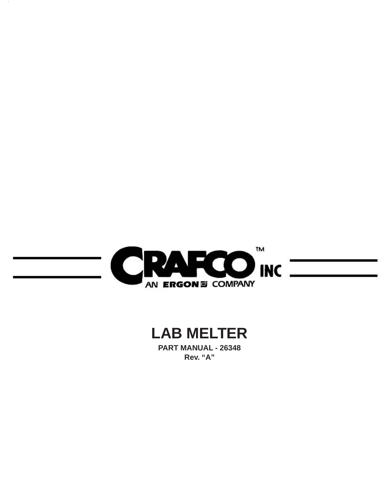

 $\sim$ 

# **LAB MELTER**

**PART MANUAL - 26348 Rev. "A"**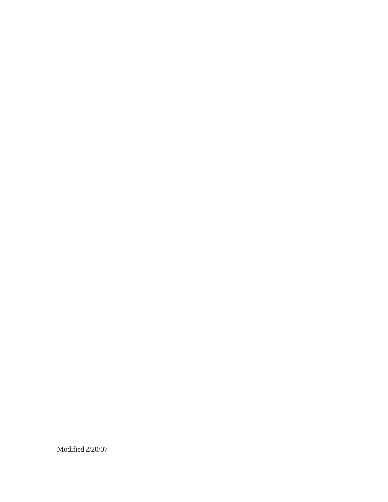Modified 2/20/07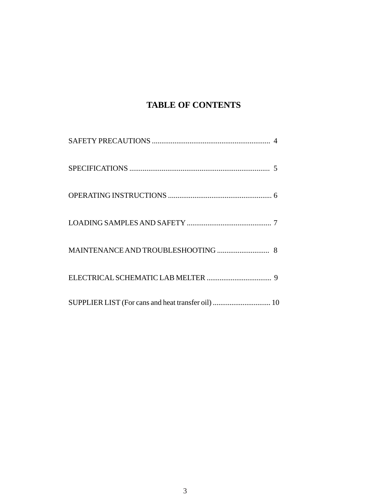# **TABLE OF CONTENTS**

| SUPPLIER LIST (For cans and heat transfer oil)  10 |  |
|----------------------------------------------------|--|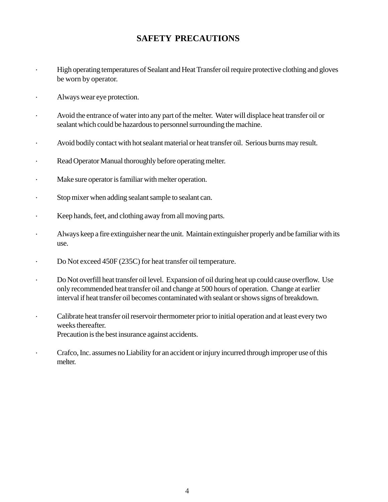### **SAFETY PRECAUTIONS**

- High operating temperatures of Sealant and Heat Transfer oil require protective clothing and gloves be worn by operator.
- · Always wear eye protection.
- Avoid the entrance of water into any part of the melter. Water will displace heat transfer oil or sealant which could be hazardous to personnel surrounding the machine.
- · Avoid bodily contact with hot sealant material or heat transfer oil. Serious burns may result.
- · Read Operator Manual thoroughly before operating melter.
- · Make sure operator is familiar with melter operation.
- · Stop mixer when adding sealant sample to sealant can.
- · Keep hands, feet, and clothing away from all moving parts.
- · Always keep a fire extinguisher near the unit. Maintain extinguisher properly and be familiar with its use.
- · Do Not exceed 450F (235C) for heat transfer oil temperature.
- · Do Not overfill heat transfer oil level. Expansion of oil during heat up could cause overflow. Use only recommended heat transfer oil and change at 500 hours of operation. Change at earlier interval if heat transfer oil becomes contaminated with sealant or shows signs of breakdown.
- · Calibrate heat transfer oil reservoir thermometer prior to initial operation and at least every two weeks thereafter. Precaution is the best insurance against accidents.
- · Crafco, Inc. assumes no Liability for an accident or injury incurred through improper use of this melter.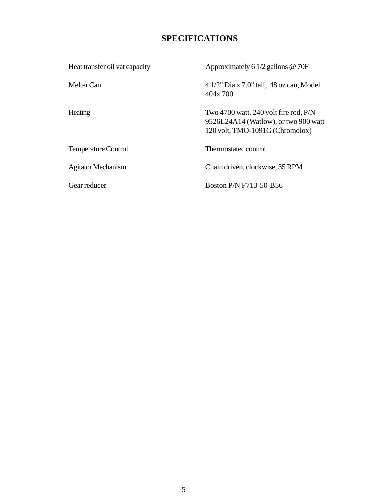## **SPECIFICATIONS**

| Heat transfer oil vat capacity | Approximately 6 $1/2$ gallons @ 70F                                                                                  |
|--------------------------------|----------------------------------------------------------------------------------------------------------------------|
| Melter Can                     | $41/2$ " Dia x 7.0" tall, 48 oz can, Model<br>404x 700                                                               |
| Heating                        | Two 4700 watt. 240 volt fire rod, $P/N$<br>9526L24A14 (Watlow), or two 900 watt<br>$120$ volt, TMO-1091G (Chromolox) |
| <b>Temperature Control</b>     | Thermostatec control                                                                                                 |
| <b>Agitator Mechanism</b>      | Chain driven, clockwise, 35 RPM                                                                                      |
| Gear reducer                   | Boston P/N F713-50-B56                                                                                               |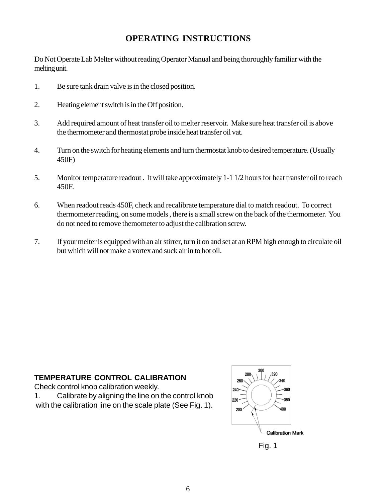### **OPERATING INSTRUCTIONS**

Do Not Operate Lab Melter without reading Operator Manual and being thoroughly familiar with the melting unit.

- 1. Be sure tank drain valve is in the closed position.
- 2. Heating element switch is in the Off position.
- 3. Add required amount of heat transfer oil to melter reservoir. Make sure heat transfer oil is above the thermometer and thermostat probe inside heat transfer oil vat.
- 4. Turn on the switch for heating elements and turn thermostat knob to desired temperature. (Usually 450F)
- 5. Monitor temperature readout . It will take approximately 1-1 1/2 hours for heat transfer oil to reach 450F.
- 6. When readout reads 450F, check and recalibrate temperature dial to match readout. To correct thermometer reading, on some models , there is a small screw on the back of the thermometer. You do not need to remove themometer to adjust the calibration screw.
- 7. If your melter is equipped with an air stirrer, turn it on and set at an RPM high enough to circulate oil but which will not make a vortex and suck air in to hot oil.

#### **TEMPERATURE CONTROL CALIBRATION**

Check control knob calibration weekly.

1. Calibrate by aligning the line on the control knob with the calibration line on the scale plate (See Fig. 1).



Fig. 1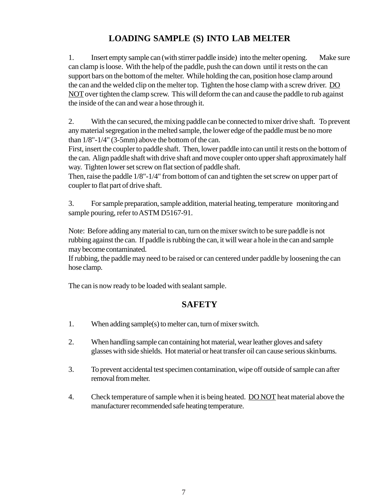# **LOADING SAMPLE (S) INTO LAB MELTER**

1. Insert empty sample can (with stirrer paddle inside) into the melter opening. Make sure can clamp is loose. With the help of the paddle, push the can down until it rests on the can support bars on the bottom of the melter. While holding the can, position hose clamp around the can and the welded clip on the melter top. Tighten the hose clamp with a screw driver. DO NOT over tighten the clamp screw. This will deform the can and cause the paddle to rub against the inside of the can and wear a hose through it.

2. With the can secured, the mixing paddle can be connected to mixer drive shaft. To prevent any material segregation in the melted sample, the lower edge of the paddle must be no more than 1/8"-1/4" (3-5mm) above the bottom of the can.

First, insert the coupler to paddle shaft. Then, lower paddle into can until it rests on the bottom of the can. Align paddle shaft with drive shaft and move coupler onto upper shaft approximately half way. Tighten lower set screw on flat section of paddle shaft.

Then, raise the paddle 1/8"-1/4" from bottom of can and tighten the set screw on upper part of coupler to flat part of drive shaft.

3. For sample preparation, sample addition, material heating, temperature monitoring and sample pouring, refer to ASTM D5167-91.

Note: Before adding any material to can, turn on the mixer switch to be sure paddle is not rubbing against the can. If paddle is rubbing the can, it will wear a hole in the can and sample may become contaminated.

If rubbing, the paddle may need to be raised or can centered under paddle by loosening the can hose clamp.

The can is now ready to be loaded with sealant sample.

# **SAFETY**

- 1. When adding sample(s) to melter can, turn of mixer switch.
- 2. When handling sample can containing hot material, wear leather gloves and safety glasses with side shields. Hot material or heat transfer oil can cause serious skinburns.
- 3. To prevent accidental test specimen contamination, wipe off outside of sample can after removal from melter.
- 4. Check temperature of sample when it is being heated. DO NOT heat material above the manufacturer recommended safe heating temperature.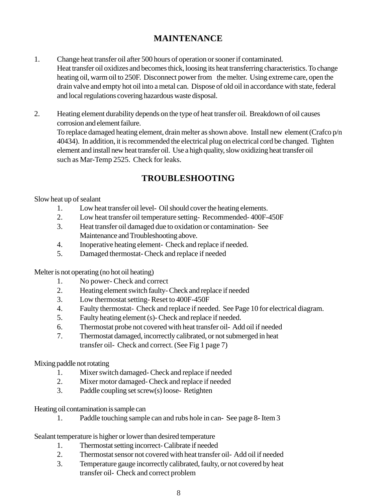## **MAINTENANCE**

- 1. Change heat transfer oil after 500 hours of operation or sooner if contaminated. Heat transfer oil oxidizes and becomes thick, loosing its heat transferring characteristics. To change heating oil, warm oil to 250F. Disconnect power from the melter. Using extreme care, open the drain valve and empty hot oil into a metal can. Dispose of old oil in accordance with state, federal and local regulations covering hazardous waste disposal.
- 2. Heating element durability depends on the type of heat transfer oil. Breakdown of oil causes corrosion and element failure. To replace damaged heating element, drain melter as shown above. Install new element (Crafco p/n 40434). In addition, it is recommended the electrical plug on electrical cord be changed. Tighten element and install new heat transfer oil. Use a high quality, slow oxidizing heat transfer oil such as Mar-Temp 2525. Check for leaks.

# **TROUBLESHOOTING**

Slow heat up of sealant

- 1. Low heat transfer oil level- Oil should cover the heating elements.
- 2. Low heat transfer oil temperature setting- Recommended- 400F-450F
- 3. Heat transfer oil damaged due to oxidation or contamination- See Maintenance and Troubleshooting above.
- 4. Inoperative heating element- Check and replace if needed.
- 5. Damaged thermostat- Check and replace if needed

Melter is not operating (no hot oil heating)

- 1. No power- Check and correct
- 2. Heating element switch faulty- Check and replace if needed
- 3. Low thermostat setting- Reset to 400F-450F
- 4. Faulty thermostat- Check and replace if needed. See Page 10 for electrical diagram.
- 5. Faulty heating element (s)- Check and replace if needed.
- 6. Thermostat probe not covered with heat transfer oil- Add oil if needed
- 7. Thermostat damaged, incorrectly calibrated, or not submerged in heat transfer oil- Check and correct. (See Fig 1 page 7)

#### Mixing paddle not rotating

- 1. Mixer switch damaged- Check and replace if needed
- 2. Mixer motor damaged- Check and replace if needed
- 3. Paddle coupling set screw(s) loose- Retighten

Heating oil contamination is sample can

1. Paddle touching sample can and rubs hole in can- See page 8- Item 3

Sealant temperature is higher or lower than desired temperature

- 1. Thermostat setting incorrect- Calibrate if needed
- 2. Thermostat sensor not covered with heat transfer oil- Add oil if needed
- 3. Temperature gauge incorrectly calibrated, faulty, or not covered by heat transfer oil- Check and correct problem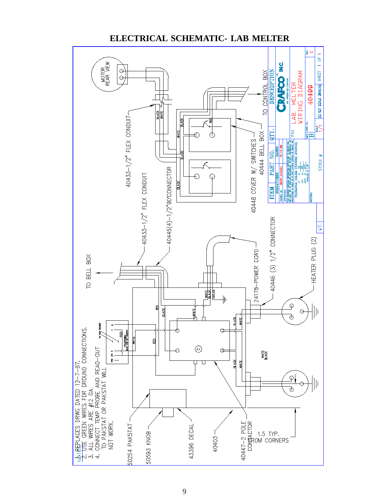

#### **ELECTRICAL SCHEMATIC- LAB MELTER**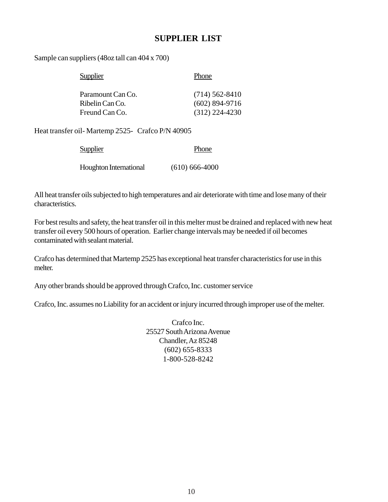#### **SUPPLIER LIST**

Sample can suppliers (48oz tall can 404 x 700)

| <b>Supplier</b>   | Phone            |
|-------------------|------------------|
| Paramount Can Co. | $(714)$ 562-8410 |
| Ribelin Can Co.   | $(602)$ 894-9716 |
| Freund Can Co.    | $(312)$ 224-4230 |

Heat transfer oil- Martemp 2525- Crafco P/N 40905

| <b>Supplier</b>               | Phone            |
|-------------------------------|------------------|
| <b>Houghton International</b> | $(610)$ 666-4000 |

All heat transfer oils subjected to high temperatures and air deteriorate with time and lose many of their characteristics.

For best results and safety, the heat transfer oil in this melter must be drained and replaced with new heat transfer oil every 500 hours of operation. Earlier change intervals may be needed if oil becomes contaminated with sealant material.

Crafco has determined that Martemp 2525 has exceptional heat transfer characteristics for use in this melter.

Any other brands should be approved through Crafco, Inc. customer service

Crafco, Inc. assumes no Liability for an accident or injury incurred through improper use of the melter.

Crafco Inc. 25527 South Arizona Avenue Chandler, Az 85248 (602) 655-8333 1-800-528-8242